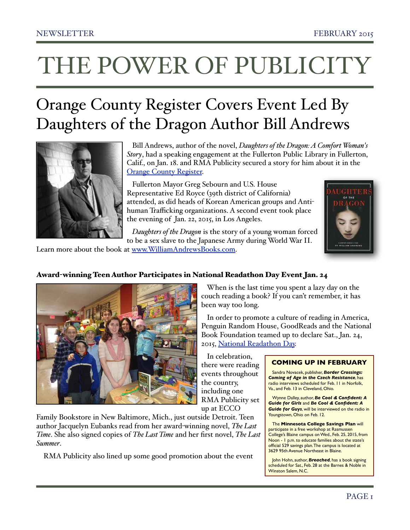# THE POWER OF PUBLICITY

## Orange County Register Covers Event Led By Daughters of the Dragon Author Bill Andrews



 Bill Andrews, author of the novel, *Daughters of the Dragon: A Comfort Woman's Story*, had a speaking engagement at the Fullerton Public Library in Fullerton, Calif., on Jan. 18. and RMA Publicity secured a story for him about it in the **[Orange County Register.](http://www.ocregister.com/articles/women-648585-comfort-lee.html)** 

 Fullerton Mayor Greg Sebourn and U.S. House Representative Ed Royce (39th district of California) attended, as did heads of Korean American groups and Antihuman Trafficking organizations. A second event took place the evening of Jan. 22, 2015, in Los Angeles.

 *Daughters of the Dragon* is the story of a young woman forced to be a sex slave to the Japanese Army during World War II.

Learn more about the book at [www.WilliamAndrewsBooks.com.](http://www.WilliamAndrewsBooks.com)





### When is the last time you spent a lazy day on the couch reading a book? If you can't remember, it has been way too long.

 In order to promote a culture of reading in America, Penguin Random House, GoodReads and the National Book Foundation teamed up to declare Sat., Jan. 24, 2015, [National Readathon Day](http://nationalbook.org/2015_readathon.html).

 In celebration, there were reading events throughout the country, including one RMA Publicity set

up at ECCO

Family Bookstore in New Baltimore, Mich., just outside Detroit. Teen author Jacquelyn Eubanks read from her award-winning novel, *The Last Time*. She also signed copies of *The Last Time* and her first novel, *The Last Summer*.

RMA Publicity also lined up some good promotion about the event

### **COMING UP IN FEBRUARY**

Sandra Novacek, publisher, *Border Crossings: Coming of Age in the Czech Resistance*, has radio interviews scheduled for Feb. 11 in Norfolk, Va., and Feb. 13 in Cleveland, Ohio.

Wynne Dalley, author, *Be Cool & Confident: A Guide for Girls* and *Be Cool & Confident: A Guide for Guys*, will be interviewed on the radio in Youngstown, Ohio on Feb. 12.

The **Minnesota College Savings Plan** will participate in a free workshop at Rasmussen College's Blaine campus on Wed., Feb. 25, 2015, from Noon - 1 p.m. to educate families about the state's official 529 savings plan. The campus is located at 3629 95th Avenue Northeast in Blaine.

John Hohn, author, *Breached*, has a book signing scheduled for Sat., Feb. 28 at the Barnes & Noble in Winston Salem, N.C.

### Award-winning Teen Author Participates in National Readathon Day Event Jan. 24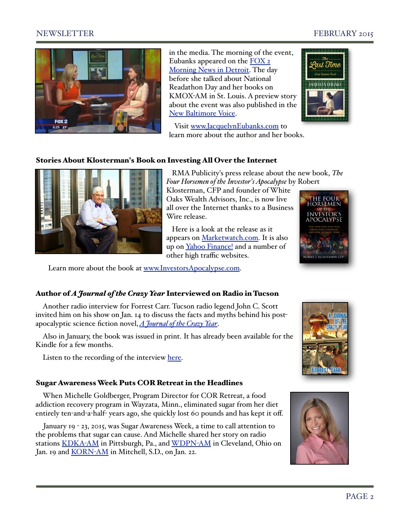### NEWSLETTER FEBRUARY 2015



in the media. The morning of the event, Eubanks appeared on the **FOX 2** [Morning News in Detroit.](https://www.youtube.com/watch?v=1ioSKbRClfo&list=UU6JzZuzFCOx-deoKBW6DKqA) The day before she talked about National Readathon Day and her books on KMOX-AM in St. Louis. A preview story about the event was also published in the [New Baltimore Voice.](http://www.voicenews.com/articles/2015/01/21/opinion/doc54b92bd43cec6413113247.txt)

 Visit [www.JacquelynEubanks.com](http://www.JacquelynEubanks.com) to learn more about the author and her books.



### Stories About Klosterman's Book on Investing All Over the Internet



 RMA Publicity's press release about the new book, *The Four Horsemen of the Investor's Apocalypse* by Robert

Klosterman, CFP and founder of White Oaks Wealth Advisors, Inc., is now live all over the Internet thanks to a Business Wire release.

 Here is a look at the release as it appears on [Marketwatch.com.](http://www.marketwatch.com/story/financial-planners-new-book-removes-the-mystery-behind-how-the-financial-markets-work-2015-01-27) It is also up on [Yahoo Finance!](http://finance.yahoo.com/news/financial-planners-book-removes-mystery-120000127.html) and a number of other high traffic websites.



Learn more about the book at [www.InvestorsApocalypse.com.](http://www.InvestorsApocalypse.com)

### Author of *A Journal of the Crazy Year* Interviewed on Radio in Tucson

Another radio interview for Forrest Carr. Tucson radio legend John C. Scott invited him on his show on Jan. 14 to discuss the facts and myths behind his postapocalyptic science fiction novel,*[A Journal of the Crazy Year](http://www.amazon.com/Journal-Crazy-Year-Forrest-Carr/dp/1500300950/ref=sr_1_1?ie=UTF8&qid=1421327373&sr=8-1&keywords=a+journal+of+the+crazy+year)*.

Also in January, the book was issued in print. It has already been available for the Kindle for a few months.

Listen to the recording of the interview [here.](http://thebashfulbloviator.blogspot.com/2015/01/a-journal-of-crazy-year-on-john-c-scott.html)

### Sugar Awareness Week Puts COR Retreat in the Headlines

When Michelle Goldberger, Program Director for COR Retreat, a food addiction recovery program in Wayzata, Minn., eliminated sugar from her diet entirely ten-and-a-half- years ago, she quickly lost 60 pounds and has kept it off.

January 19 - 23, 2015, was Sugar Awareness Week, a time to call attention to the problems that sugar can cause. And Michelle shared her story on radio stations [KDKA](http://www.rmapublicity.com/images/stories/Audio/COR%20Retreat%20-%20KDKA%20Radio,%20Pittsburgh%20(Michelle%20Goldberger)%20-%20January%2020,%202015.mp3)-AM in Pittsburgh, Pa., and [WDPN](http://www.rmapublicity.com/images/stories/Audio/COR%20Retreat%20-%20WDPN%20Radio,%20Pittsburgh%20(Michelle%20Goldberger)%20-%20January%2019,%202015.mp3)-AM in Cleveland, Ohio on Jan. 19 and [KORN](http://www.rmapublicity.com/images/stories/Audio/COR%20Retreat%20-%20KORN%20Radio,%20Mitchell,%20SD%20(Michelle%20Goldberger)%20-%20January%2022,%202015%201.mp3)-AM in Mitchell, S.D., on Jan. 22.



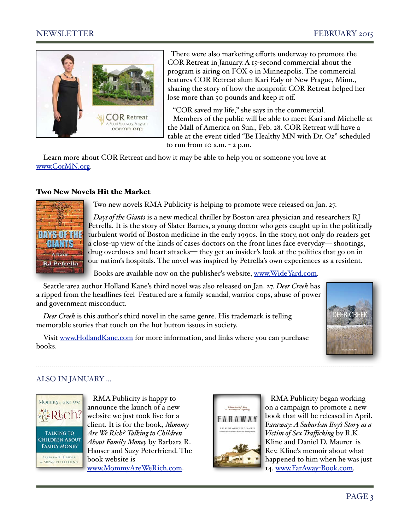

 There were also marketing efforts underway to promote the COR Retreat in January. A 15-second commercial about the program is airing on FOX 9 in Minneapolis. The commercial features COR Retreat alum Kari Ealy of New Prague, Minn., sharing the story of how the nonprofit COR Retreat helped her lose more than 50 pounds and keep it off.

 "COR saved my life," she says in the commercial. Members of the public will be able to meet Kari and Michelle at the Mall of America on Sun., Feb. 28. COR Retreat will have a table at the event titled "Be Healthy MN with Dr. Oz" scheduled to run from  $10$  a.m.  $-2$  p.m.

Learn more about COR Retreat and how it may be able to help you or someone you love at [www.CorMN.org.](http://www.CorMN.org)

### Two New Novels Hit the Market



Two new novels RMA Publicity is helping to promote were released on Jan. 27.

 *Days of the Giants* is a new medical thriller by Boston-area physician and researchers RJ Petrella. It is the story of Slater Barnes, a young doctor who gets caught up in the politically turbulent world of Boston medicine in the early 1990s. In the story, not only do readers get a close-up view of the kinds of cases doctors on the front lines face everyday— shootings, drug overdoses and heart attacks— they get an insider's look at the politics that go on in our nation's hospitals. The novel was inspired by Petrella's own experiences as a resident.

Books are available now on the publisher's website, [www.WideYard.com.](http://www.WideYard.com)

Seattle-area author Holland Kane's third novel was also released on Jan. 27. *Deer Creek* has a ripped from the headlines feel Featured are a family scandal, warrior cops, abuse of power and government misconduct.

*Deer Creek* is this author's third novel in the same genre. His trademark is telling memorable stories that touch on the hot button issues in society.

Visit [www.HollandKane.com](http://www.HollandKane.com) for more information, and links where you can purchase books.



### ALSO IN JANUARY ...



 RMA Publicity is happy to announce the launch of a new website we just took live for a client. It is for the book, *Mommy Are We Rich? Talking to Children About Family Money* by Barbara R. Hauser and Suzy Peterfriend. The book website is [www.MommyAreWeRich.com.](http://www.MommyAreWeRich.com)



 RMA Publicity began working on a campaign to promote a new book that will be released in April. F*araway: A Suburban Boy's Story as a Victim of Sex Trafficking* by R.K. Kline and Daniel D. Maurer is Rev. Kline's memoir about what happened to him when he was just 14. [www.FarAway](http://www.FarAway-Book.com)-Book.com.